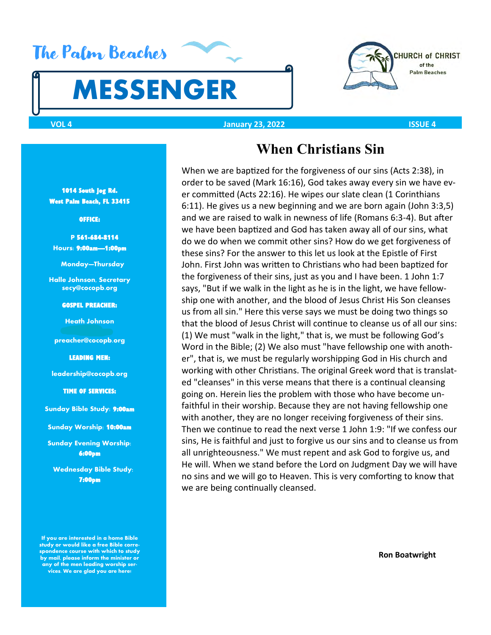# The Palm Beaches

# **MESSENGER**



### **VOL 4 January 23, 2022 ISSUE 4**

#### 1014 South Jog Rd. West Palm Beach, FL 33415

#### OFFICE:

 **P** 561-684-8114 **Hours:** 9:00am—1:00pm

**Monday—Thursday** 

**Halle Johnson, Secretary secy@cocopb.org**

GOSPEL PREACHER:

**Heath Johnson** 

**preacher@cocopb.org** 

LEADING MEN:

**leadership@cocopb.org**

TIME OF SERVICES:

**Sunday Bible Study:** 9:00am

**Sunday Worship:** 10:00am

**Sunday Evening Worship:**  6:00pm

 **Wednesday Bible Study:**  7:00pm

**If you are interested in a home Bible study or would like a free Bible correspondence course with which to study by mail, please inform the minister or any of the men leading worship services. We are glad you are here!**

### **When Christians Sin**

When we are baptized for the forgiveness of our sins (Acts 2:38), in order to be saved (Mark 16:16), God takes away every sin we have ever committed (Acts 22:16). He wipes our slate clean (1 Corinthians 6:11). He gives us a new beginning and we are born again (John 3:3,5) and we are raised to walk in newness of life (Romans 6:3-4). But after we have been baptized and God has taken away all of our sins, what do we do when we commit other sins? How do we get forgiveness of these sins? For the answer to this let us look at the Epistle of First John. First John was written to Christians who had been baptized for the forgiveness of their sins, just as you and I have been. 1 John 1:7 says, "But if we walk in the light as he is in the light, we have fellowship one with another, and the blood of Jesus Christ His Son cleanses us from all sin." Here this verse says we must be doing two things so that the blood of Jesus Christ will continue to cleanse us of all our sins: (1) We must "walk in the light," that is, we must be following God's Word in the Bible; (2) We also must "have fellowship one with another", that is, we must be regularly worshipping God in His church and working with other Christians. The original Greek word that is translated "cleanses" in this verse means that there is a continual cleansing going on. Herein lies the problem with those who have become unfaithful in their worship. Because they are not having fellowship one with another, they are no longer receiving forgiveness of their sins. Then we continue to read the next verse 1 John 1:9: "If we confess our sins, He is faithful and just to forgive us our sins and to cleanse us from all unrighteousness." We must repent and ask God to forgive us, and He will. When we stand before the Lord on Judgment Day we will have no sins and we will go to Heaven. This is very comforting to know that we are being continually cleansed.

 **Ron Boatwright**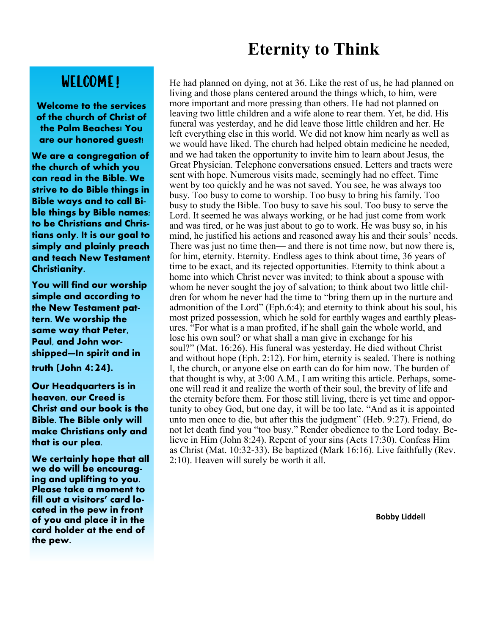### **Eternity to Think**

### WELCOME!

**Welcome to the services of the church of Christ of the Palm Beaches! You are our honored guest!**

**We are a congregation of the church of which you can read in the Bible. We strive to do Bible things in Bible ways and to call Bible things by Bible names; to be Christians and Christians only. It is our goal to simply and plainly preach and teach New Testament Christianity.** 

**You will find our worship simple and according to the New Testament pattern. We worship the same way that Peter, Paul, and John worshipped—In spirit and in truth (John 4:24).** 

**Our Headquarters is in heaven, our Creed is Christ and our book is the Bible. The Bible only will make Christians only and that is our plea.**

**We certainly hope that all we do will be encouraging and uplifting to you. Please take a moment to fill out a visitors' card located in the pew in front of you and place it in the card holder at the end of the pew.** 

He had planned on dying, not at 36. Like the rest of us, he had planned on living and those plans centered around the things which, to him, were more important and more pressing than others. He had not planned on leaving two little children and a wife alone to rear them. Yet, he did. His funeral was yesterday, and he did leave those little children and her. He left everything else in this world. We did not know him nearly as well as we would have liked. The church had helped obtain medicine he needed, and we had taken the opportunity to invite him to learn about Jesus, the Great Physician. Telephone conversations ensued. Letters and tracts were sent with hope. Numerous visits made, seemingly had no effect. Time went by too quickly and he was not saved. You see, he was always too busy. Too busy to come to worship. Too busy to bring his family. Too busy to study the Bible. Too busy to save his soul. Too busy to serve the Lord. It seemed he was always working, or he had just come from work and was tired, or he was just about to go to work. He was busy so, in his mind, he justified his actions and reasoned away his and their souls' needs. There was just no time then— and there is not time now, but now there is, for him, eternity. Eternity. Endless ages to think about time, 36 years of time to be exact, and its rejected opportunities. Eternity to think about a home into which Christ never was invited; to think about a spouse with whom he never sought the joy of salvation; to think about two little children for whom he never had the time to "bring them up in the nurture and admonition of the Lord" (Eph.6:4); and eternity to think about his soul, his most prized possession, which he sold for earthly wages and earthly pleasures. "For what is a man profited, if he shall gain the whole world, and lose his own soul? or what shall a man give in exchange for his soul?" (Mat. 16:26). His funeral was yesterday. He died without Christ and without hope (Eph. 2:12). For him, eternity is sealed. There is nothing I, the church, or anyone else on earth can do for him now. The burden of that thought is why, at 3:00 A.M., I am writing this article. Perhaps, someone will read it and realize the worth of their soul, the brevity of life and the eternity before them. For those still living, there is yet time and opportunity to obey God, but one day, it will be too late. "And as it is appointed unto men once to die, but after this the judgment" (Heb. 9:27). Friend, do not let death find you "too busy." Render obedience to the Lord today. Believe in Him (John 8:24). Repent of your sins (Acts 17:30). Confess Him as Christ (Mat. 10:32-33). Be baptized (Mark 16:16). Live faithfully (Rev. 2:10). Heaven will surely be worth it all.

**Bobby Liddell**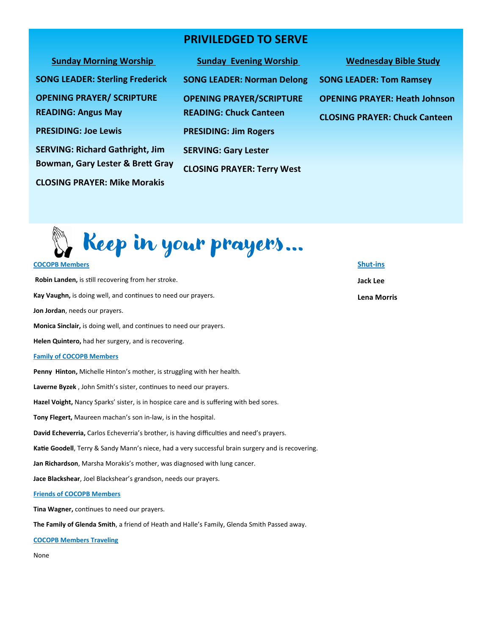### **PRIVILEDGED TO SERVE**

| <b>SUILLAY IVIOLIBILE VOLSILID</b>     |
|----------------------------------------|
| <b>SONG LEADER: Sterling Frederick</b> |
| <b>OPENING PRAYER/ SCRIPTURE</b>       |
| <b>READING: Angus May</b>              |
| <b>PRESIDING: Joe Lewis</b>            |
| <b>SERVING: Richard Gathright, Jim</b> |
| Bowman, Gary Lester & Brett Gray       |
| <b>CLOSING PRAYER: Mike Morakis</b>    |

**Sunday Evening Worship Morship Wednesday Bible Study SONG LEADER: Norman Delong OPENING PRAYER/SCRIPTURE READING: Chuck Canteen PRESIDING: Jim Rogers SERVING: Gary Lester CLOSING PRAYER: Terry West**

# **SONG LEADER: Tom Ramsey**

**OPENING PRAYER: Heath Johnson**

**CLOSING PRAYER: Chuck Canteen**



### **COCOPB Members Robin Landen,** is still recovering from her stroke. **Kay Vaughn,** is doing well, and continues to need our prayers. **Jon Jordan**, needs our prayers. **Monica Sinclair,** is doing well, and continues to need our prayers. **Helen Quintero,** had her surgery, and is recovering. **Family of COCOPB Members Penny Hinton,** Michelle Hinton's mother, is struggling with her health. **Laverne Byzek** , John Smith's sister, continues to need our prayers. **Hazel Voight,** Nancy Sparks' sister, is in hospice care and is suffering with bed sores. **Tony Flegert,** Maureen machan's son in-law, is in the hospital. **David Echeverria,** Carlos Echeverria's brother, is having difficulties and need's prayers. **Katie Goodell**, Terry & Sandy Mann's niece, had a very successful brain surgery and is recovering. **Jan Richardson**, Marsha Morakis's mother, was diagnosed with lung cancer. **Jace Blackshear**, Joel Blackshear's grandson, needs our prayers. **Friends of COCOPB Members Shut-ins Jack Lee Lena Morris**

**Tina Wagner,** continues to need our prayers.

**The Family of Glenda Smith**, a friend of Heath and Halle's Family, Glenda Smith Passed away.

**COCOPB Members Traveling** 

None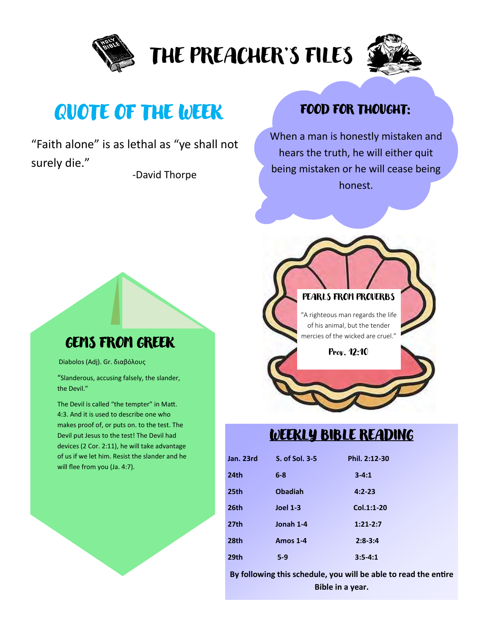

# THE PREACHER'S FILES



# QUOTE OF THE WEEK

"Faith alone" is as lethal as "ye shall not surely die."

-David Thorpe

### FOOD FOR THOUGHT:

When a man is honestly mistaken and hears the truth, he will either quit being mistaken or he will cease being honest.



### WEEKLY BIBLE READING

| Jan. 23rd        | S. of Sol. 3-5  | Phil. 2:12-30 |
|------------------|-----------------|---------------|
| 24th             | $6 - 8$         | $3 - 4:1$     |
| 25th             | <b>Obadiah</b>  | $4:2 - 23$    |
| 26th             | <b>Joel 1-3</b> | Col.1:1-20    |
| 27 <sub>th</sub> | Jonah 1-4       | $1:21-2:7$    |
| 28th             | <b>Amos 1-4</b> | $2:8-3:4$     |
| 29th             | $5-9$           | $3:5 - 4:1$   |

**By following this schedule, you will be able to read the entire Bible in a year.** 

### GEMS FROM GREEK

Diabolos (Adj). Gr. διαβόλους

"Slanderous, accusing falsely, the slander, the Devil."

The Devil is called "the tempter" in Matt. 4:3. And it is used to describe one who makes proof of, or puts on. to the test. The Devil put Jesus to the test! The Devil had devices (2 Cor. 2:11), he will take advantage of us if we let him. Resist the slander and he will flee from you (Ja. 4:7).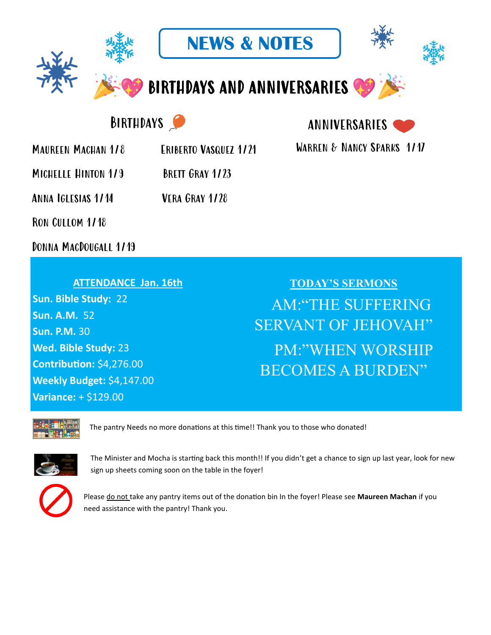

**NEWS & NOTES**



BIRTHDAYS AND ANNIVERSARIES

## BIRTHDAYS

MAUREEN MACHAN 1/8 ERIBERTO VASQUEZ 1/21 WARREN & NANCY SPARKS 1/17

MICHELLE HINTON 1/9 BRETT GRAY 1/23

Anna Iglesias 1/14 Vera Gray 1/28

Ron Cullom 1/18

Donna MacDougall 1/19

### **ATTENDANCE Jan. 16th**

**Sun. Bible Study:** 22 **Sun. A.M.** 52 **Sun. P.M.** 30 **Wed. Bible Study:** 23 **Contribution:** \$4,276.00 **Weekly Budget:** \$4,147.00 **Variance:** + \$129.00

# **TODAY'S SERMONS** AM:"THE SUFFERING SERVANT OF JEHOVAH" PM:"WHEN WORSHIP BECOMES A BURDEN"



The pantry Needs no more donations at this time!! Thank you to those who donated!



The Minister and Mocha is starting back this month!! If you didn't get a chance to sign up last year, look for new sign up sheets coming soon on the table in the foyer!



Please do not take any pantry items out of the donation bin In the foyer! Please see **Maureen Machan** if you need assistance with the pantry! Thank you.